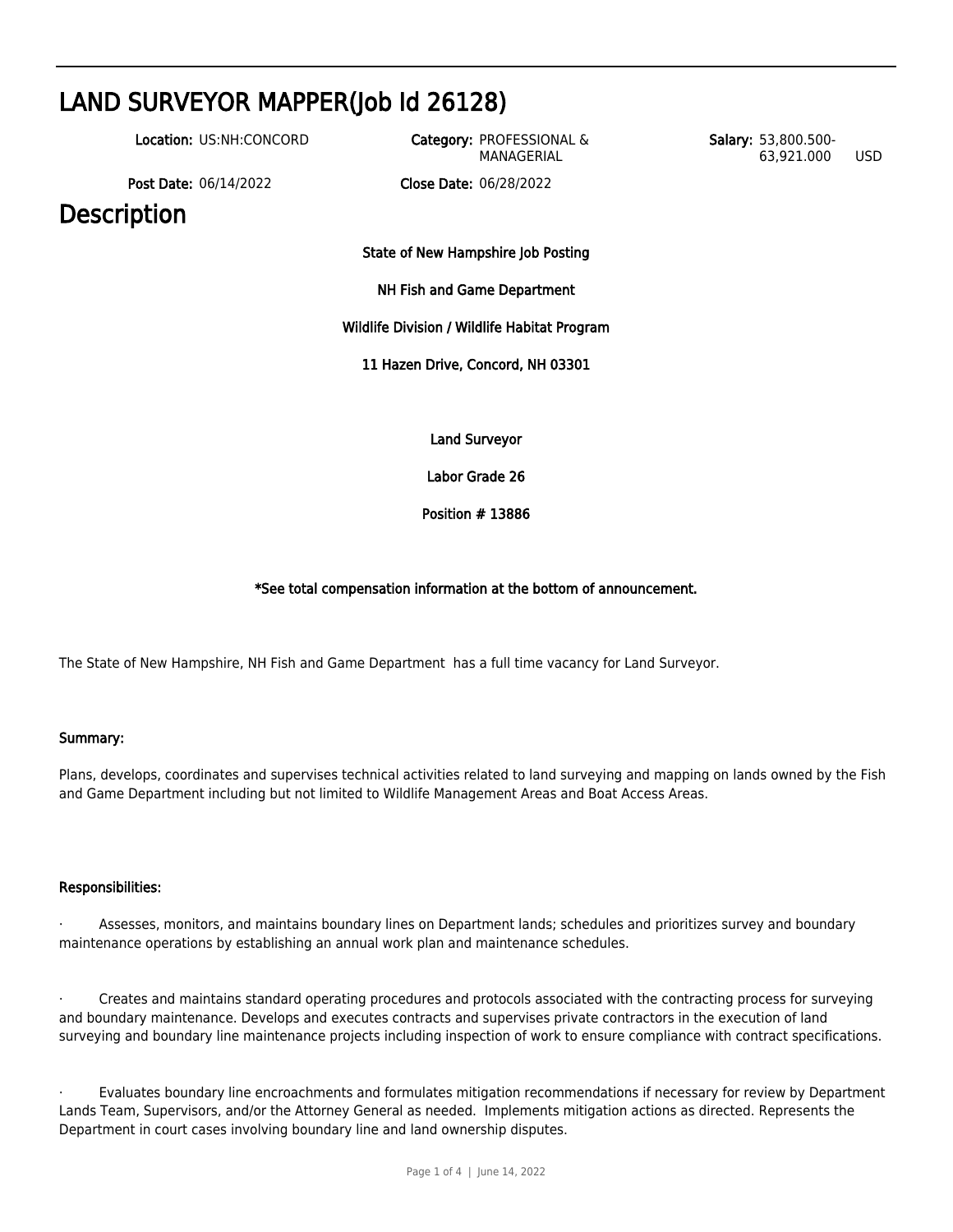# LAND SURVEYOR MAPPER(Job Id 26128) Location: US:NH:CONCORD Category: PROFESSIONAL & MANAGERIAL Salary: 53,800.500- 63,921.000 USD Post Date: 06/14/2022 Close Date: 06/28/2022 **Description** State of New Hampshire Job Posting NH Fish and Game Department Wildlife Division / Wildlife Habitat Program 11 Hazen Drive, Concord, NH 03301 Land Surveyor Labor Grade 26

Position # 13886

## \*See total compensation information at the bottom of announcement.

The State of New Hampshire, NH Fish and Game Department has a full time vacancy for Land Surveyor.

## Summary:

Plans, develops, coordinates and supervises technical activities related to land surveying and mapping on lands owned by the Fish and Game Department including but not limited to Wildlife Management Areas and Boat Access Areas.

## Responsibilities:

Assesses, monitors, and maintains boundary lines on Department lands; schedules and prioritizes survey and boundary maintenance operations by establishing an annual work plan and maintenance schedules.

· Creates and maintains standard operating procedures and protocols associated with the contracting process for surveying and boundary maintenance. Develops and executes contracts and supervises private contractors in the execution of land surveying and boundary line maintenance projects including inspection of work to ensure compliance with contract specifications.

· Evaluates boundary line encroachments and formulates mitigation recommendations if necessary for review by Department Lands Team, Supervisors, and/or the Attorney General as needed. Implements mitigation actions as directed. Represents the Department in court cases involving boundary line and land ownership disputes.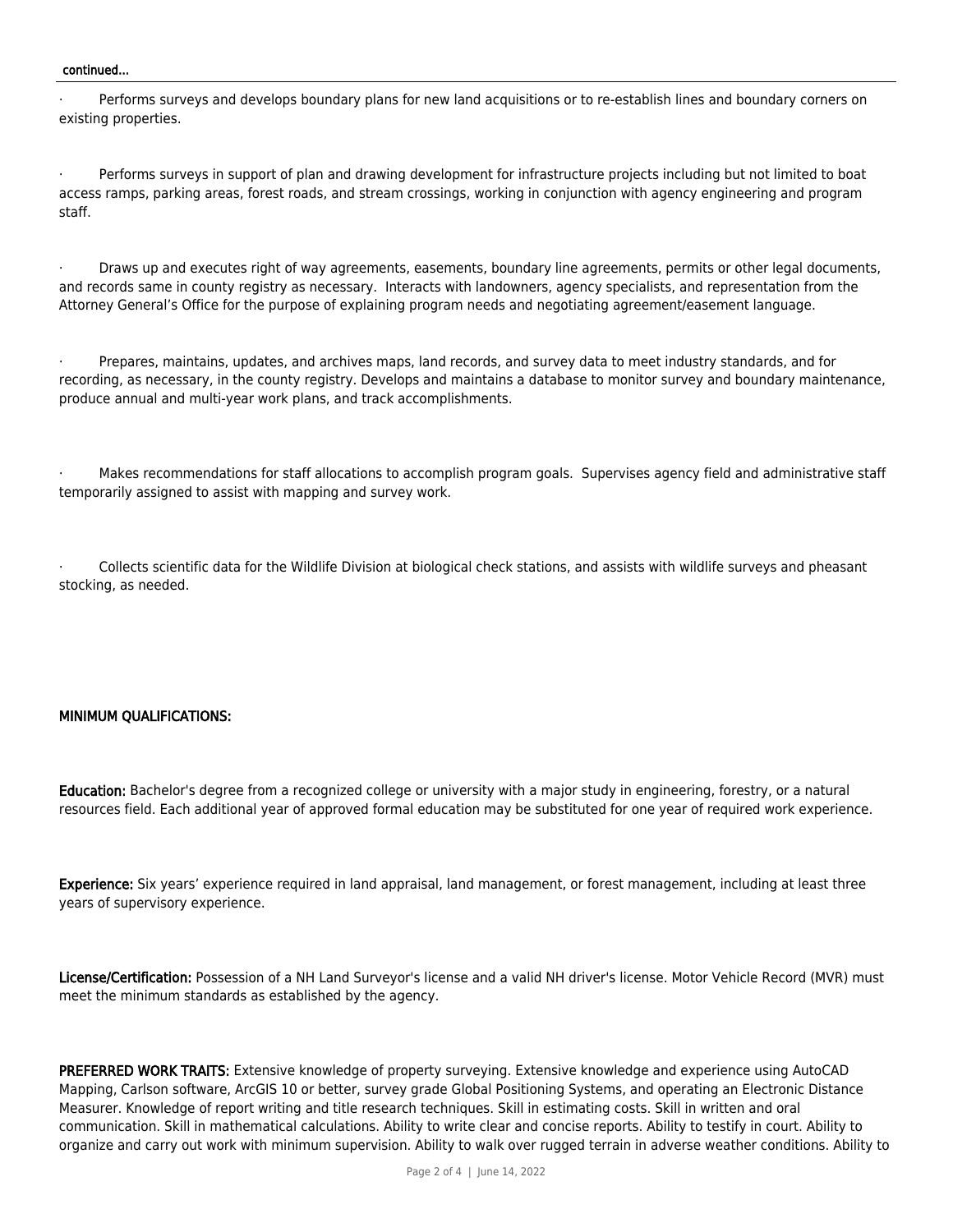#### continued...

Performs surveys and develops boundary plans for new land acquisitions or to re-establish lines and boundary corners on existing properties.

Performs surveys in support of plan and drawing development for infrastructure projects including but not limited to boat access ramps, parking areas, forest roads, and stream crossings, working in conjunction with agency engineering and program staff.

Draws up and executes right of way agreements, easements, boundary line agreements, permits or other legal documents, and records same in county registry as necessary. Interacts with landowners, agency specialists, and representation from the Attorney General's Office for the purpose of explaining program needs and negotiating agreement/easement language.

Prepares, maintains, updates, and archives maps, land records, and survey data to meet industry standards, and for recording, as necessary, in the county registry. Develops and maintains a database to monitor survey and boundary maintenance, produce annual and multi-year work plans, and track accomplishments.

Makes recommendations for staff allocations to accomplish program goals. Supervises agency field and administrative staff temporarily assigned to assist with mapping and survey work.

Collects scientific data for the Wildlife Division at biological check stations, and assists with wildlife surveys and pheasant stocking, as needed.

#### MINIMUM QUALIFICATIONS:

Education: Bachelor's degree from a recognized college or university with a major study in engineering, forestry, or a natural resources field. Each additional year of approved formal education may be substituted for one year of required work experience.

Experience: Six years' experience required in land appraisal, land management, or forest management, including at least three years of supervisory experience.

License/Certification: Possession of a NH Land Surveyor's license and a valid NH driver's license. Motor Vehicle Record (MVR) must meet the minimum standards as established by the agency.

PREFERRED WORK TRAITS: Extensive knowledge of property surveying. Extensive knowledge and experience using AutoCAD Mapping, Carlson software, ArcGIS 10 or better, survey grade Global Positioning Systems, and operating an Electronic Distance Measurer. Knowledge of report writing and title research techniques. Skill in estimating costs. Skill in written and oral communication. Skill in mathematical calculations. Ability to write clear and concise reports. Ability to testify in court. Ability to organize and carry out work with minimum supervision. Ability to walk over rugged terrain in adverse weather conditions. Ability to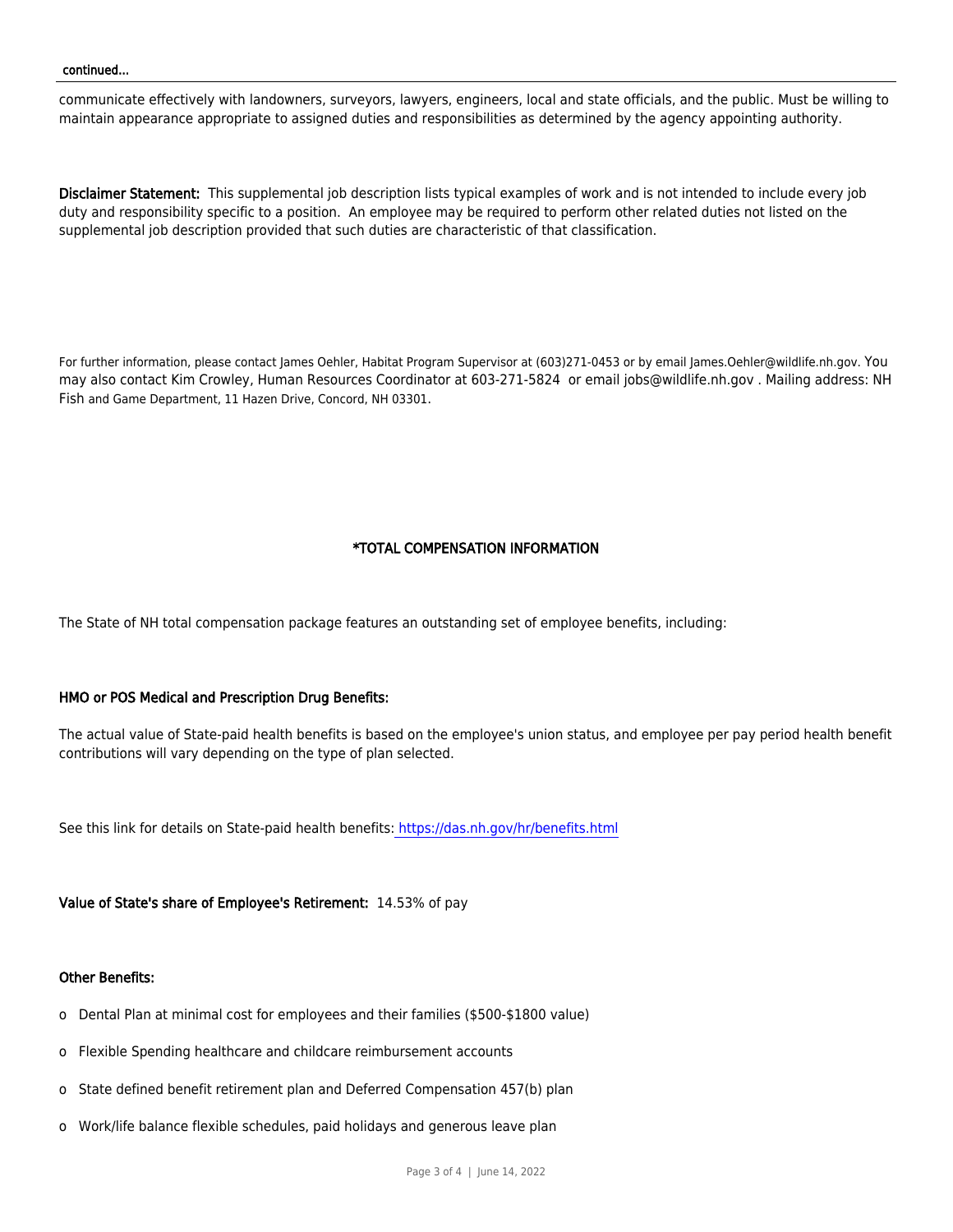communicate effectively with landowners, surveyors, lawyers, engineers, local and state officials, and the public. Must be willing to maintain appearance appropriate to assigned duties and responsibilities as determined by the agency appointing authority.

Disclaimer Statement: This supplemental job description lists typical examples of work and is not intended to include every job duty and responsibility specific to a position. An employee may be required to perform other related duties not listed on the supplemental job description provided that such duties are characteristic of that classification.

For further information, please contact James Oehler, Habitat Program Supervisor at (603)271-0453 or by email James.Oehler@wildlife.nh.gov. You may also contact Kim Crowley, Human Resources Coordinator at 603-271-5824 or email jobs@wildlife.nh.gov . Mailing address: NH Fish and Game Department, 11 Hazen Drive, Concord, NH 03301.

## \*TOTAL COMPENSATION INFORMATION

The State of NH total compensation package features an outstanding set of employee benefits, including:

## HMO or POS Medical and Prescription Drug Benefits:

The actual value of State-paid health benefits is based on the employee's union status, and employee per pay period health benefit contributions will vary depending on the type of plan selected.

See this link for details on State-paid health benefits:<https://das.nh.gov/hr/benefits.html>

Value of State's share of Employee's Retirement: 14.53% of pay

#### Other Benefits:

- o Dental Plan at minimal cost for employees and their families (\$500-\$1800 value)
- o Flexible Spending healthcare and childcare reimbursement accounts
- o State defined benefit retirement plan and Deferred Compensation 457(b) plan
- o Work/life balance flexible schedules, paid holidays and generous leave plan